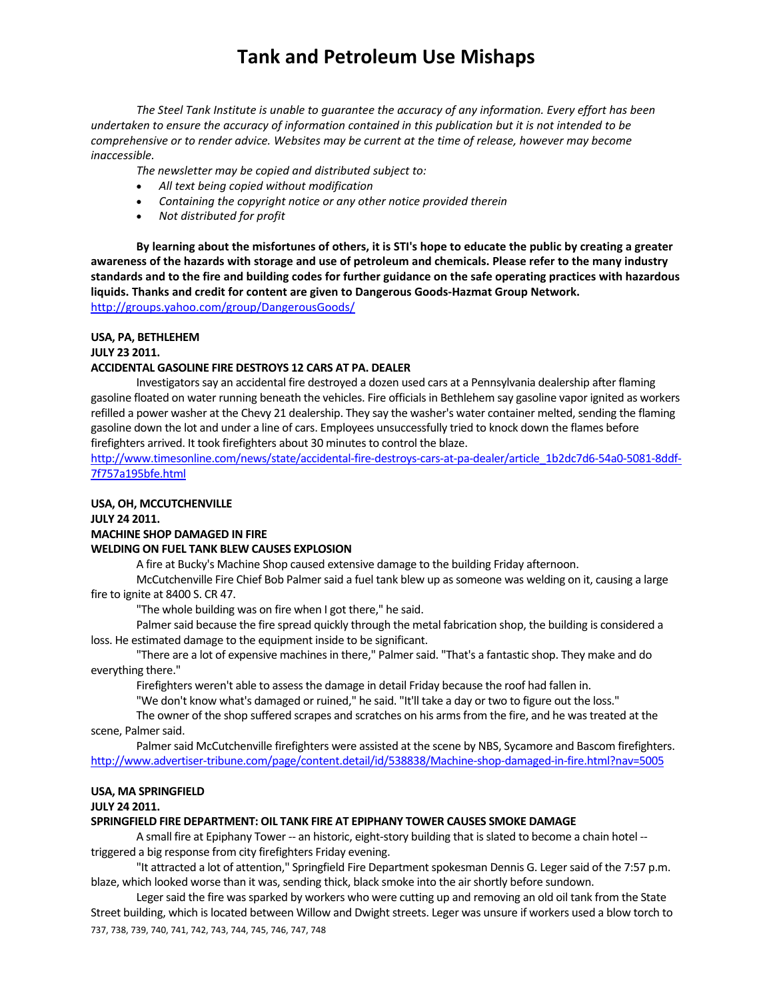*The Steel Tank Institute is unable to guarantee the accuracy of any information. Every effort has been* undertaken to ensure the accuracy of information contained in this publication but it is not intended to be *comprehensive or to render advice. Websites may be current at the time of release, however may become inaccessible.*

*The newsletter may be copied and distributed subject to:*

- *All text being copied without modification*
- *Containing the copyright notice or any other notice provided therein*
- *Not distributed for profit*

By learning about the misfortunes of others, it is STI's hope to educate the public by creating a greater awareness of the hazards with storage and use of petroleum and chemicals. Please refer to the many industry standards and to the fire and building codes for further guidance on the safe operating practices with hazardous **liquids. Thanks and credit for content are given to Dangerous Goods‐Hazmat Group Network.**  http://groups.yahoo.com/group/DangerousGoods/

#### **USA, PA, BETHLEHEM**

**JULY 23 2011.** 

## **ACCIDENTAL GASOLINE FIRE DESTROYS 12 CARS AT PA. DEALER**

Investigators say an accidental fire destroyed a dozen used cars at a Pennsylvania dealership after flaming gasoline floated on water running beneath the vehicles. Fire officialsin Bethlehem say gasoline vapor ignited as workers refilled a power washer at the Chevy 21 dealership. They say the washer's water container melted, sending the flaming gasoline down the lot and under a line of cars. Employees unsuccessfully tried to knock down the flames before firefighters arrived. It took firefighters about 30 minutes to control the blaze.

http://www.timesonline.com/news/state/accidental-fire-destroys-cars-at-pa-dealer/article\_1b2dc7d6-54a0-5081-8ddf-7f757a195bfe.html

### **USA, OH, MCCUTCHENVILLE**

**JULY 24 2011.** 

## **MACHINE SHOP DAMAGED IN FIRE**

### **WELDING ON FUEL TANK BLEW CAUSES EXPLOSION**

A fire at Bucky's Machine Shop caused extensive damage to the building Friday afternoon.

McCutchenville Fire Chief Bob Palmer said a fuel tank blew up as someone was welding on it, causing a large fire to ignite at 8400 S. CR 47.

"The whole building was on fire when I got there," he said.

Palmer said because the fire spread quickly through the metal fabrication shop, the building is considered a loss. He estimated damage to the equipment inside to be significant.

"There are a lot of expensive machines in there," Palmer said. "That's a fantastic shop. They make and do everything there."

Firefighters weren't able to assess the damage in detail Friday because the roof had fallen in.

"We don't know what's damaged or ruined," he said. "It'll take a day or two to figure out the loss."

The owner of the shop suffered scrapes and scratches on his arms from the fire, and he was treated at the scene, Palmer said.

Palmer said McCutchenville firefighters were assisted at the scene by NBS, Sycamore and Bascom firefighters. http://www.advertiser‐tribune.com/page/content.detail/id/538838/Machine‐shop‐damaged‐in‐fire.html?nav=5005

#### **USA, MA SPRINGFIELD**

#### **JULY 24 2011.**

#### **SPRINGFIELD FIRE DEPARTMENT: OIL TANK FIRE AT EPIPHANY TOWER CAUSES SMOKE DAMAGE**

A small fire at Epiphany Tower -- an historic, eight-story building that is slated to become a chain hotel -triggered a big response from city firefighters Friday evening.

"It attracted a lot of attention," Springfield Fire Department spokesman Dennis G. Leger said of the 7:57 p.m. blaze, which looked worse than it was, sending thick, black smoke into the air shortly before sundown.

737, 738, 739, 740, 741, 742, 743, 744, 745, 746, 747, 748 Leger said the fire was sparked by workers who were cutting up and removing an old oil tank from the State Street building, which is located between Willow and Dwight streets. Leger was unsure if workers used a blow torch to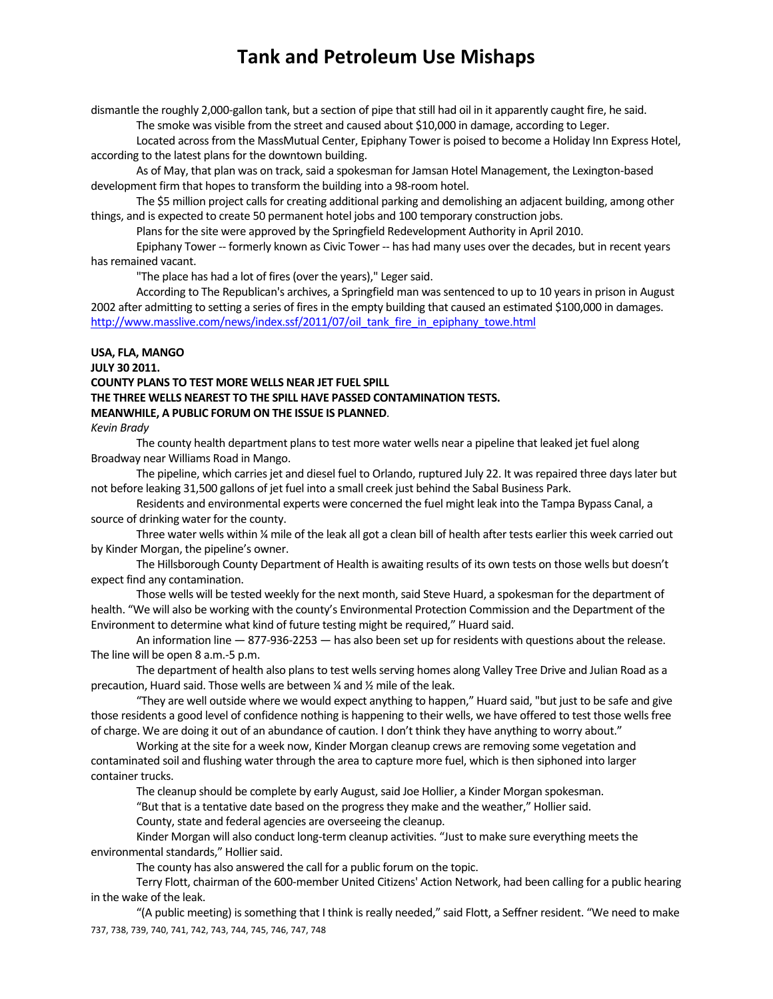dismantle the roughly 2,000-gallon tank, but a section of pipe that still had oil in it apparently caught fire, he said. The smoke was visible from the street and caused about \$10,000 in damage, according to Leger.

Located acrossfrom the MassMutual Center, Epiphany Tower is poised to become a Holiday Inn Express Hotel, according to the latest plans for the downtown building.

As of May, that plan was on track, said a spokesman for Jamsan Hotel Management, the Lexington-based development firm that hopes to transform the building into a 98-room hotel.

The \$5 million project calls for creating additional parking and demolishing an adjacent building, among other things, and is expected to create 50 permanent hotel jobs and 100 temporary construction jobs.

Plans for the site were approved by the Springfield Redevelopment Authority in April 2010.

Epiphany Tower ‐‐ formerly known as Civic Tower ‐‐ has had many uses over the decades, but in recent years has remained vacant.

"The place has had a lot of fires (over the years)," Leger said.

According to The Republican's archives, a Springfield man was sentenced to up to 10 years in prison in August 2002 after admitting to setting a series of fires in the empty building that caused an estimated \$100,000 in damages. http://www.masslive.com/news/index.ssf/2011/07/oil\_tank\_fire\_in\_epiphany\_towe.html

### **USA, FLA, MANGO**

**JULY 30 2011.** 

## **COUNTY PLANS TO TEST MORE WELLS NEAR JET FUEL SPILL THE THREE WELLS NEAREST TO THE SPILL HAVE PASSED CONTAMINATION TESTS. MEANWHILE, A PUBLIC FORUM ON THE ISSUE IS PLANNED**.

*Kevin Brady*

The county health department plans to test more water wells near a pipeline that leaked jet fuel along Broadway near Williams Road in Mango.

The pipeline, which carries jet and diesel fuel to Orlando, ruptured July 22. It was repaired three days later but not before leaking 31,500 gallons of jet fuel into a small creek just behind the Sabal Business Park.

Residents and environmental experts were concerned the fuel might leak into the Tampa Bypass Canal, a source of drinking water for the county.

Three water wells within ¼ mile of the leak all got a clean bill of health after tests earlier this week carried out by Kinder Morgan, the pipeline's owner.

The Hillsborough County Department of Health is awaiting results of its own tests on those wells but doesn't expect find any contamination.

Those wells will be tested weekly for the next month, said Steve Huard, a spokesman for the department of health. "We will also be working with the county's Environmental Protection Commission and the Department of the Environment to determine what kind of future testing might be required," Huard said.

An information line — 877-936-2253 — has also been set up for residents with questions about the release. The line will be open 8 a.m.‐5 p.m.

The department of health also plans to test wells serving homes along Valley Tree Drive and Julian Road as a precaution, Huard said. Those wells are between ¼ and ½ mile of the leak.

"They are well outside where we would expect anything to happen," Huard said, "but just to be safe and give those residents a good level of confidence nothing is happening to their wells, we have offered to test those wells free of charge. We are doing it out of an abundance of caution. I don't think they have anything to worry about."

Working at the site for a week now, Kinder Morgan cleanup crews are removing some vegetation and contaminated soil and flushing water through the area to capture more fuel, which isthen siphoned into larger container trucks.

The cleanup should be complete by early August, said Joe Hollier, a Kinder Morgan spokesman.

"But that is a tentative date based on the progress they make and the weather," Hollier said.

County, state and federal agencies are overseeing the cleanup.

Kinder Morgan will also conduct long-term cleanup activities. "Just to make sure everything meets the environmental standards," Hollier said.

The county has also answered the call for a public forum on the topic.

Terry Flott, chairman of the 600‐member United Citizens' Action Network, had been calling for a public hearing in the wake of the leak.

737, 738, 739, 740, 741, 742, 743, 744, 745, 746, 747, 748 "(A public meeting) is something that I think is really needed," said Flott, a Seffner resident. "We need to make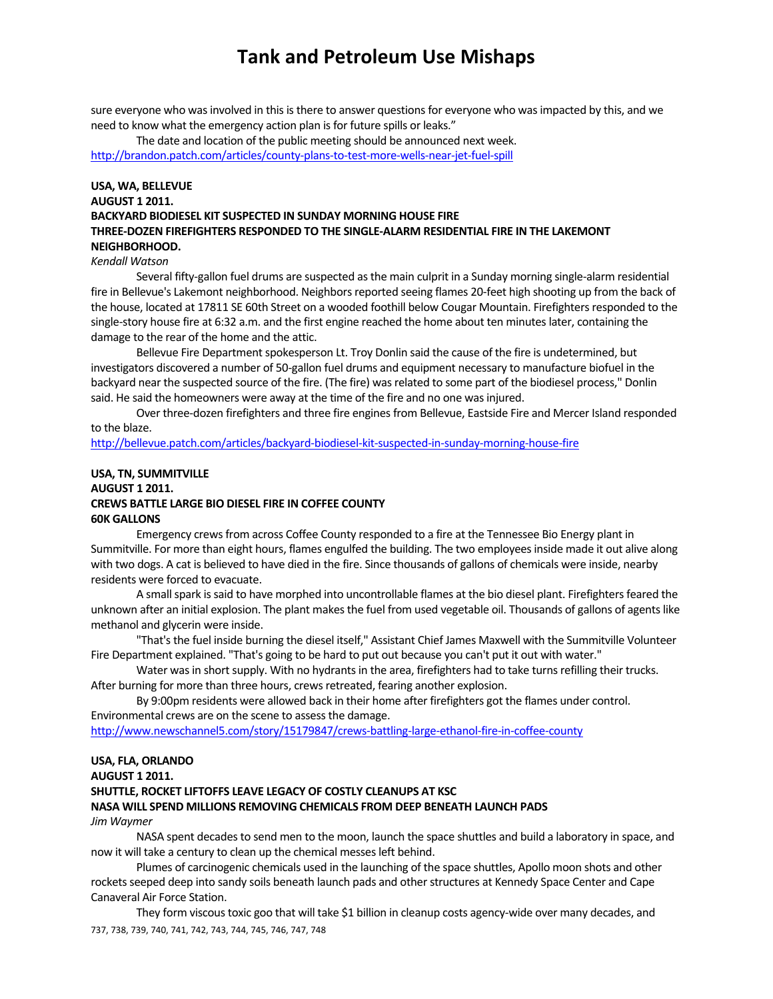sure everyone who was involved in this is there to answer questions for everyone who was impacted by this, and we need to know what the emergency action plan is for future spills or leaks."

The date and location of the public meeting should be announced next week. http://brandon.patch.com/articles/county‐plans‐to‐test‐more‐wells‐near‐jet‐fuel‐spill

# **USA, WA, BELLEVUE AUGUST 1 2011. BACKYARD BIODIESEL KIT SUSPECTED IN SUNDAY MORNING HOUSE FIRE THREE‐DOZEN FIREFIGHTERS RESPONDED TO THE SINGLE‐ALARM RESIDENTIAL FIRE IN THE LAKEMONT NEIGHBORHOOD.**

### *Kendall Watson*

Several fifty‐gallon fuel drums are suspected asthe main culprit in a Sunday morning single‐alarm residential fire in Bellevue's Lakemont neighborhood. Neighbors reported seeing flames 20-feet high shooting up from the back of the house, located at 17811 SE 60th Street on a wooded foothill below Cougar Mountain. Firefighters responded to the single-story house fire at 6:32 a.m. and the first engine reached the home about ten minutes later, containing the damage to the rear of the home and the attic.

Bellevue Fire Department spokesperson Lt. Troy Donlin said the cause of the fire is undetermined, but investigators discovered a number of 50‐gallon fuel drums and equipment necessary to manufacture biofuel in the backyard near the suspected source of the fire. (The fire) wasrelated to some part of the biodiesel process," Donlin said. He said the homeowners were away at the time of the fire and no one was injured.

Over three-dozen firefighters and three fire engines from Bellevue, Eastside Fire and Mercer Island responded to the blaze.

http://bellevue.patch.com/articles/backyard‐biodiesel‐kit‐suspected‐in‐sunday‐morning‐house‐fire

## **USA, TN, SUMMITVILLE AUGUST 1 2011. CREWS BATTLE LARGE BIO DIESEL FIRE IN COFFEE COUNTY 60K GALLONS**

Emergency crewsfrom across Coffee County responded to a fire at the Tennessee Bio Energy plant in Summitville. For more than eight hours, flames engulfed the building. The two employees inside made it out alive along with two dogs. A cat is believed to have died in the fire. Since thousands of gallons of chemicals were inside, nearby residents were forced to evacuate.

A small spark is said to have morphed into uncontrollable flames at the bio diesel plant. Firefighters feared the unknown after an initial explosion. The plant makes the fuel from used vegetable oil. Thousands of gallons of agents like methanol and glycerin were inside.

"That's the fuel inside burning the diesel itself," Assistant Chief James Maxwell with the Summitville Volunteer Fire Department explained. "That's going to be hard to put out because you can't put it out with water."

Water was in short supply. With no hydrants in the area, firefighters had to take turns refilling their trucks. After burning for more than three hours, crews retreated, fearing another explosion.

By 9:00pm residents were allowed back in their home after firefighters got the flames under control. Environmental crews are on the scene to assess the damage.

http://www.newschannel5.com/story/15179847/crews-battling-large-ethanol-fire-in-coffee-county

## **USA, FLA, ORLANDO**

**AUGUST 1 2011.** 

# **SHUTTLE, ROCKET LIFTOFFS LEAVE LEGACY OF COSTLY CLEANUPS AT KSC**

# **NASA WILL SPEND MILLIONS REMOVING CHEMICALS FROM DEEP BENEATH LAUNCH PADS**

### *Jim Waymer*

NASA spent decades to send men to the moon, launch the space shuttles and build a laboratory in space, and now it will take a century to clean up the chemical messesleft behind.

Plumes of carcinogenic chemicals used in the launching of the space shuttles, Apollo moon shots and other rockets seeped deep into sandy soils beneath launch pads and other structures at Kennedy Space Center and Cape Canaveral Air Force Station.

737, 738, 739, 740, 741, 742, 743, 744, 745, 746, 747, 748 They form viscous toxic goo that will take \$1 billion in cleanup costs agency-wide over many decades, and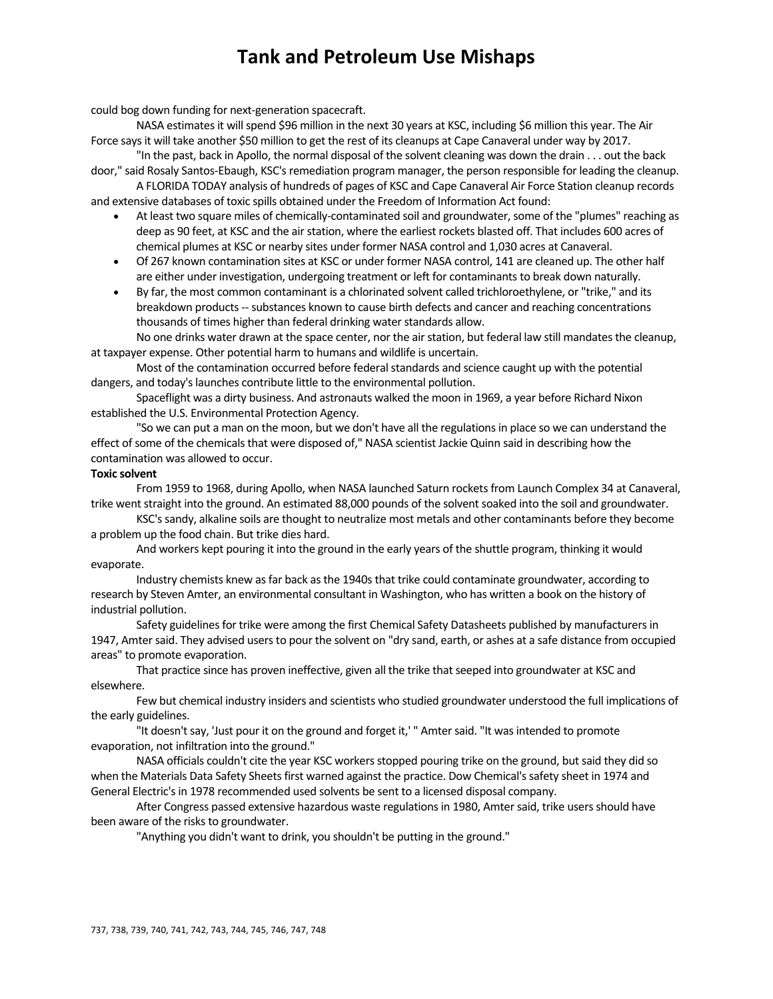could bog down funding for next‐generation spacecraft.

NASA estimates it will spend \$96 million in the next 30 years at KSC, including \$6 million this year. The Air Force saysit will take another \$50 million to get the rest of its cleanups at Cape Canaveral under way by 2017.

"In the past, back in Apollo, the normal disposal of the solvent cleaning was down the drain . . . out the back door," said Rosaly Santos-Ebaugh, KSC's remediation program manager, the person responsible for leading the cleanup.

A FLORIDA TODAY analysis of hundreds of pages of KSC and Cape Canaveral Air Force Station cleanup records and extensive databases of toxic spills obtained under the Freedom of Information Act found:

- At least two square miles of chemically-contaminated soil and groundwater, some of the "plumes" reaching as deep as 90 feet, at KSC and the air station, where the earliest rockets blasted off. That includes 600 acres of chemical plumes at KSC or nearby sites under former NASA control and 1,030 acres at Canaveral.
- Of 267 known contamination sites at KSC or under former NASA control, 141 are cleaned up. The other half are either under investigation, undergoing treatment or left for contaminants to break down naturally.
- By far, the most common contaminant is a chlorinated solvent called trichloroethylene, or "trike," and its breakdown products ‐‐ substances known to cause birth defects and cancer and reaching concentrations thousands of times higher than federal drinking water standards allow.

No one drinks water drawn at the space center, nor the air station, but federal law still mandates the cleanup, at taxpayer expense. Other potential harm to humans and wildlife is uncertain.

Most of the contamination occurred before federal standards and science caught up with the potential dangers, and today's launches contribute little to the environmental pollution.

Spaceflight was a dirty business. And astronauts walked the moon in 1969, a year before Richard Nixon established the U.S. Environmental Protection Agency.

"So we can put a man on the moon, but we don't have all the regulationsin place so we can understand the effect of some of the chemicals that were disposed of," NASA scientist Jackie Quinn said in describing how the contamination was allowed to occur.

### **Toxic solvent**

From 1959 to 1968, during Apollo, when NASA launched Saturn rockets from Launch Complex 34 at Canaveral, trike went straight into the ground. An estimated 88,000 pounds of the solvent soaked into the soil and groundwater.

KSC'ssandy, alkaline soils are thought to neutralize most metals and other contaminants before they become a problem up the food chain. But trike dies hard.

And workers kept pouring it into the ground in the early years of the shuttle program, thinking it would evaporate.

Industry chemists knew as far back as the 1940s that trike could contaminate groundwater, according to research by Steven Amter, an environmental consultant in Washington, who has written a book on the history of industrial pollution.

Safety guidelines for trike were among the first Chemical Safety Datasheets published by manufacturers in 1947, Amter said. They advised users to pour the solvent on "dry sand, earth, or ashes at a safe distance from occupied areas" to promote evaporation.

That practice since has proven ineffective, given all the trike that seeped into groundwater at KSC and elsewhere.

Few but chemical industry insiders and scientists who studied groundwater understood the full implications of the early guidelines.

"It doesn't say, 'Just pour it on the ground and forget it,' " Amter said. "It was intended to promote evaporation, not infiltration into the ground."

NASA officials couldn't cite the year KSC workers stopped pouring trike on the ground, but said they did so when the Materials Data Safety Sheets first warned against the practice. Dow Chemical's safety sheet in 1974 and General Electric'sin 1978 recommended used solvents be sent to a licensed disposal company.

After Congress passed extensive hazardous waste regulations in 1980, Amter said, trike users should have been aware of the risks to groundwater.

"Anything you didn't want to drink, you shouldn't be putting in the ground."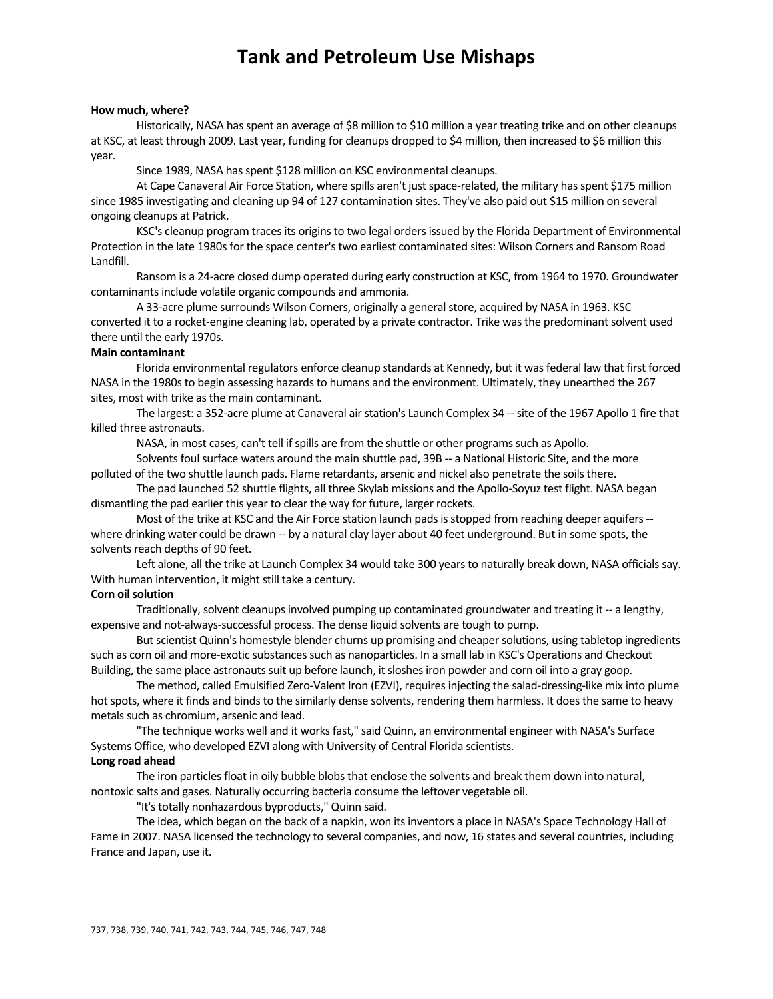#### **How much, where?**

Historically, NASA has spent an average of \$8 million to \$10 million a year treating trike and on other cleanups at KSC, at least through 2009. Last year, funding for cleanups dropped to \$4 million, then increased to \$6 million this year.

Since 1989, NASA has spent \$128 million on KSC environmental cleanups.

At Cape Canaveral Air Force Station, where spills aren't just space-related, the military has spent \$175 million since 1985 investigating and cleaning up 94 of 127 contamination sites. They've also paid out \$15 million on several ongoing cleanups at Patrick.

KSC's cleanup program traces its origins to two legal orders issued by the Florida Department of Environmental Protection in the late 1980s for the space center's two earliest contaminated sites: Wilson Corners and Ransom Road Landfill.

Ransom is a 24‐acre closed dump operated during early construction at KSC, from 1964 to 1970. Groundwater contaminants include volatile organic compounds and ammonia.

A 33‐acre plume surrounds Wilson Corners, originally a generalstore, acquired by NASA in 1963. KSC converted it to a rocket-engine cleaning lab, operated by a private contractor. Trike was the predominant solvent used there until the early 1970s.

### **Main contaminant**

Florida environmental regulators enforce cleanup standards at Kennedy, but it was federal law that first forced NASA in the 1980s to begin assessing hazards to humans and the environment. Ultimately, they unearthed the 267 sites, most with trike as the main contaminant.

The largest: a 352-acre plume at Canaveral air station's Launch Complex 34 -- site of the 1967 Apollo 1 fire that killed three astronauts.

NASA, in most cases, can't tell if spills are from the shuttle or other programs such as Apollo.

Solvents foul surface waters around the main shuttle pad, 39B -- a National Historic Site, and the more polluted of the two shuttle launch pads. Flame retardants, arsenic and nickel also penetrate the soils there.

The pad launched 52 shuttle flights, all three Skylab missions and the Apollo-Soyuz test flight. NASA began dismantling the pad earlier this year to clear the way for future, larger rockets.

Most of the trike at KSC and the Air Force station launch pads is stopped from reaching deeper aquifers -where drinking water could be drawn -- by a natural clay layer about 40 feet underground. But in some spots, the solvents reach depths of 90 feet.

Left alone, all the trike at Launch Complex 34 would take 300 years to naturally break down, NASA officials say. With human intervention, it might still take a century.

### **Corn** oil solution

Traditionally, solvent cleanups involved pumping up contaminated groundwater and treating it -- a lengthy, expensive and not‐always‐successful process. The dense liquid solvents are tough to pump.

But scientist Quinn's homestyle blender churns up promising and cheaper solutions, using tabletop ingredients such as corn oil and more-exotic substances such as nanoparticles. In a small lab in KSC's Operations and Checkout Building, the same place astronauts suit up before launch, it sloshes iron powder and corn oil into a gray goop.

The method, called Emulsified Zero‐Valent Iron (EZVI), requiresinjecting the salad‐dressing‐like mix into plume hot spots, where it finds and binds to the similarly dense solvents, rendering them harmless. It does the same to heavy metals such as chromium, arsenic and lead.

"The technique works well and it worksfast," said Quinn, an environmental engineer with NASA's Surface Systems Office, who developed EZVI along with University of Central Florida scientists.

## **Long road ahead**

The iron particles float in oily bubble blobs that enclose the solvents and break them down into natural, nontoxic salts and gases. Naturally occurring bacteria consume the leftover vegetable oil.

"It's totally nonhazardous byproducts," Quinn said.

The idea, which began on the back of a napkin, won its inventors a place in NASA's Space Technology Hall of Fame in 2007. NASA licensed the technology to several companies, and now, 16 states and several countries, including France and Japan, use it.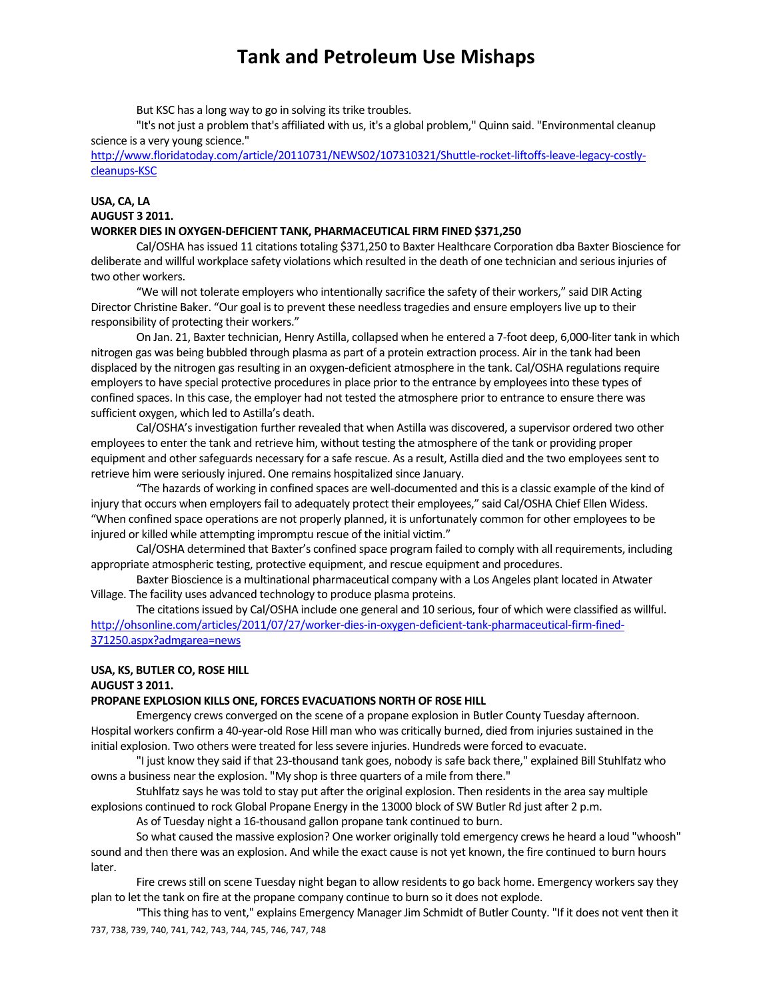But KSC has a long way to go in solving its trike troubles.

"It's not just a problem that's affiliated with us, it's a global problem," Quinn said. "Environmental cleanup science is a very young science."

http://www.floridatoday.com/article/20110731/NEWS02/107310321/Shuttle-rocket-liftoffs-leave-legacy-costlycleanups‐KSC

# **USA, CA, LA AUGUST 3 2011.**

### **WORKER DIES IN OXYGEN‐DEFICIENT TANK, PHARMACEUTICAL FIRM FINED \$371,250**

Cal/OSHA hasissued 11 citationstotaling \$371,250 to Baxter Healthcare Corporation dba Baxter Bioscience for deliberate and willful workplace safety violations which resulted in the death of one technician and serious injuries of two other workers.

"We will not tolerate employers who intentionally sacrifice the safety of their workers," said DIR Acting Director Christine Baker. "Our goal is to prevent these needless tragedies and ensure employers live up to their responsibility of protecting their workers."

On Jan. 21, Baxter technician, Henry Astilla, collapsed when he entered a 7‐foot deep, 6,000‐liter tank in which nitrogen gas was being bubbled through plasma as part of a protein extraction process. Air in the tank had been displaced by the nitrogen gas resulting in an oxygen-deficient atmosphere in the tank. Cal/OSHA regulations require employers to have special protective procedures in place prior to the entrance by employees into these types of confined spaces. In this case, the employer had not tested the atmosphere prior to entrance to ensure there was sufficient oxygen, which led to Astilla's death.

Cal/OSHA's investigation further revealed that when Astilla was discovered, a supervisor ordered two other employeesto enter the tank and retrieve him, without testing the atmosphere of the tank or providing proper equipment and other safeguards necessary for a safe rescue. As a result, Astilla died and the two employees sent to retrieve him were seriously injured. One remains hospitalized since January.

"The hazards of working in confined spaces are well‐documented and thisis a classic example of the kind of injury that occurs when employers fail to adequately protect their employees," said Cal/OSHA Chief Ellen Widess. "When confined space operations are not properly planned, it is unfortunately common for other employeesto be injured or killed while attempting impromptu rescue of the initial victim."

Cal/OSHA determined that Baxter's confined space program failed to comply with all requirements, including appropriate atmospheric testing, protective equipment, and rescue equipment and procedures.

Baxter Bioscience is a multinational pharmaceutical company with a Los Angeles plant located in Atwater Village. The facility uses advanced technology to produce plasma proteins.

The citations issued by Cal/OSHA include one general and 10 serious, four of which were classified as willful. http://ohsonline.com/articles/2011/07/27/worker-dies-in-oxygen-deficient-tank-pharmaceutical-firm-fined-371250.aspx?admgarea=news

### **USA, KS, BUTLER CO, ROSE HILL**

#### **AUGUST 3 2011.**

#### **PROPANE EXPLOSION KILLS ONE, FORCES EVACUATIONS NORTH OF ROSE HILL**

Emergency crews converged on the scene of a propane explosion in Butler County Tuesday afternoon. Hospital workers confirm a 40-year-old Rose Hill man who was critically burned, died from injuries sustained in the initial explosion. Two others were treated for less severe injuries. Hundreds were forced to evacuate.

"I just know they said if that 23‐thousand tank goes, nobody issafe back there," explained Bill Stuhlfatz who owns a business near the explosion. "My shop is three quarters of a mile from there."

Stuhlfatz says he was told to stay put after the original explosion. Then residents in the area say multiple explosions continued to rock Global Propane Energy in the 13000 block of SW Butler Rd just after 2 p.m.

As of Tuesday night a 16‐thousand gallon propane tank continued to burn.

So what caused the massive explosion? One worker originally told emergency crews he heard a loud "whoosh" sound and then there was an explosion. And while the exact cause is not yet known, the fire continued to burn hours later.

Fire crews still on scene Tuesday night began to allow residents to go back home. Emergency workers say they plan to let the tank on fire at the propane company continue to burn so it does not explode.

737, 738, 739, 740, 741, 742, 743, 744, 745, 746, 747, 748 "Thisthing hasto vent," explains Emergency Manager Jim Schmidt of Butler County. "If it does not vent then it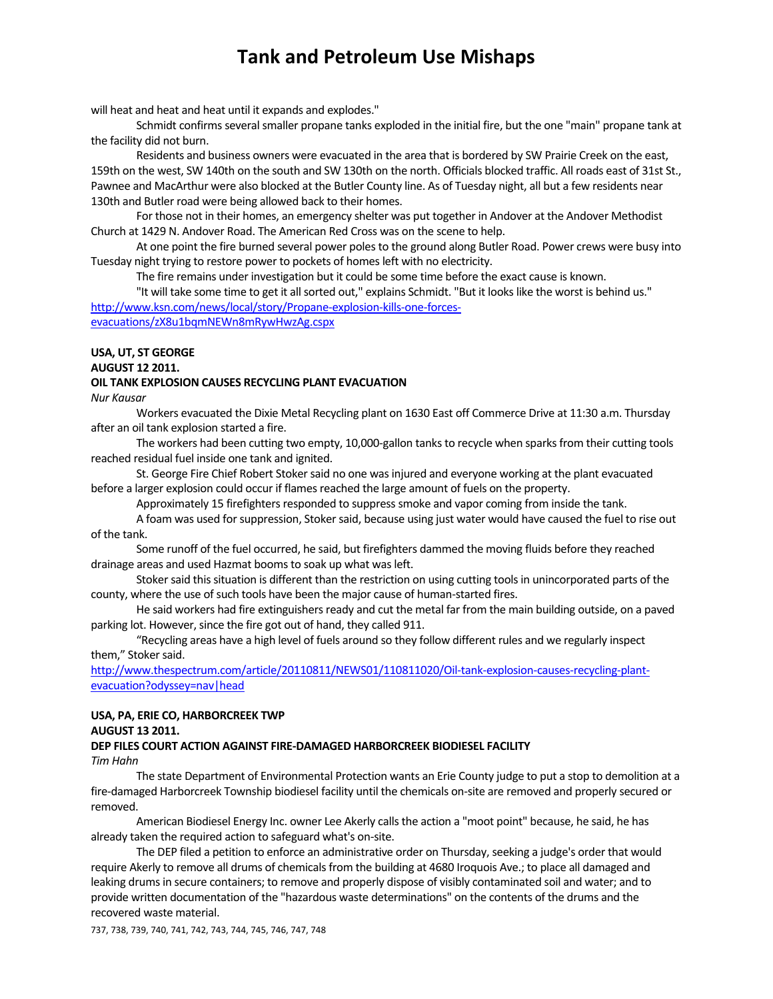will heat and heat and heat until it expands and explodes."

Schmidt confirms several smaller propane tanks exploded in the initial fire, but the one "main" propane tank at the facility did not burn.

Residents and business owners were evacuated in the area that is bordered by SW Prairie Creek on the east, 159th on the west, SW 140th on the south and SW 130th on the north. Officials blocked traffic. All roads east of 31st St., Pawnee and MacArthur were also blocked at the Butler County line. As of Tuesday night, all but a few residents near 130th and Butler road were being allowed back to their homes.

For those not in their homes, an emergency shelter was put together in Andover at the Andover Methodist Church at 1429 N. Andover Road. The American Red Cross was on the scene to help.

At one point the fire burned several power polesto the ground along Butler Road. Power crews were busy into Tuesday night trying to restore power to pockets of homes left with no electricity.

The fire remains under investigation but it could be some time before the exact cause is known.

"It will take some time to get it all sorted out," explains Schmidt. "But it looks like the worst is behind us." http://www.ksn.com/news/local/story/Propane-explosion-kills-one-forcesevacuations/zX8u1bqmNEWn8mRywHwzAg.cspx

# **USA, UT, ST GEORGE**

**AUGUST 12 2011.**

#### **OIL TANK EXPLOSION CAUSES RECYCLING PLANT EVACUATION**

*Nur Kausar*

Workers evacuated the Dixie Metal Recycling plant on 1630 East off Commerce Drive at 11:30 a.m. Thursday after an oil tank explosion started a fire.

The workers had been cutting two empty, 10,000-gallon tanks to recycle when sparks from their cutting tools reached residual fuel inside one tank and ignited.

St. George Fire Chief Robert Stoker said no one was injured and everyone working at the plant evacuated before a larger explosion could occur if flames reached the large amount of fuels on the property.

Approximately 15 firefighters responded to suppress smoke and vapor coming from inside the tank.

A foam was used for suppression, Stoker said, because using just water would have caused the fuel to rise out of the tank.

Some runoff of the fuel occurred, he said, but firefighters dammed the moving fluids before they reached drainage areas and used Hazmat booms to soak up what was left.

Stoker said this situation is different than the restriction on using cutting tools in unincorporated parts of the county, where the use of such tools have been the major cause of human-started fires.

He said workers had fire extinguishers ready and cut the metal far from the main building outside, on a paved parking lot. However, since the fire got out of hand, they called 911.

"Recycling areas have a high level of fuels around so they follow different rules and we regularly inspect them." Stoker said.

http://www.thespectrum.com/article/20110811/NEWS01/110811020/Oil-tank-explosion-causes-recycling-plantevacuation?odyssey=nav|head

# **USA, PA, ERIE CO, HARBORCREEK TWP**

# **AUGUST 13 2011.**

#### **DEP FILES COURT ACTION AGAINST FIRE‐DAMAGED HARBORCREEK BIODIESEL FACILITY** *Tim Hahn*

The state Department of Environmental Protection wants an Erie County judge to put a stop to demolition at a fire-damaged Harborcreek Township biodiesel facility until the chemicals on-site are removed and properly secured or removed.

American Biodiesel Energy Inc. owner Lee Akerly calls the action a "moot point" because, he said, he has already taken the required action to safeguard what's on‐site.

The DEP filed a petition to enforce an administrative order on Thursday, seeking a judge's order that would require Akerly to remove all drums of chemicals from the building at 4680 Iroquois Ave.; to place all damaged and leaking drums in secure containers; to remove and properly dispose of visibly contaminated soil and water; and to provide written documentation of the "hazardous waste determinations" on the contents of the drums and the recovered waste material.

737, 738, 739, 740, 741, 742, 743, 744, 745, 746, 747, 748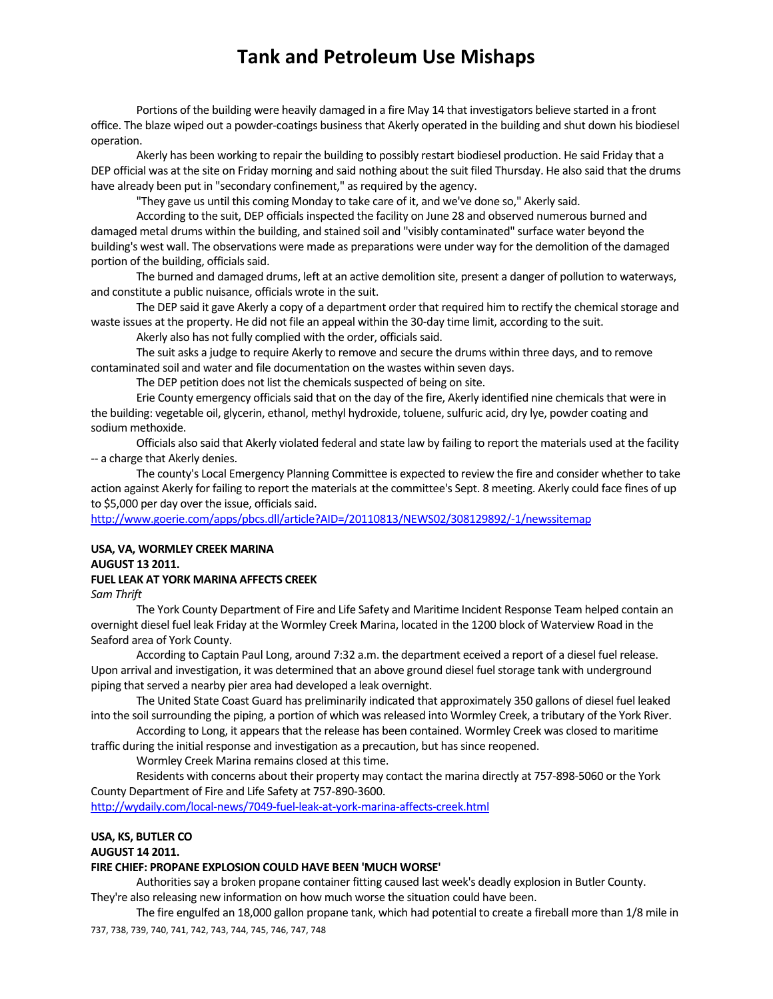Portions of the building were heavily damaged in a fire May 14 that investigators believe started in a front office. The blaze wiped out a powder‐coatings businessthat Akerly operated in the building and shut down his biodiesel operation.

Akerly has been working to repair the building to possibly restart biodiesel production. He said Friday that a DEP official was at the site on Friday morning and said nothing about the suit filed Thursday. He also said that the drums have already been put in "secondary confinement," as required by the agency.

"They gave us until this coming Monday to take care of it, and we've done so," Akerly said.

According to the suit, DEP officialsinspected the facility on June 28 and observed numerous burned and damaged metal drums within the building, and stained soil and "visibly contaminated" surface water beyond the building's west wall. The observations were made as preparations were under way for the demolition of the damaged portion of the building, officials said.

The burned and damaged drums, left at an active demolition site, present a danger of pollution to waterways, and constitute a public nuisance, officials wrote in the suit.

The DEP said it gave Akerly a copy of a department order that required him to rectify the chemical storage and waste issues at the property. He did not file an appeal within the 30-day time limit, according to the suit.

Akerly also has not fully complied with the order, officials said.

The suit asks a judge to require Akerly to remove and secure the drums within three days, and to remove contaminated soil and water and file documentation on the wastes within seven days.

The DEP petition does not list the chemicals suspected of being on site.

Erie County emergency officials said that on the day of the fire, Akerly identified nine chemicals that were in the building: vegetable oil, glycerin, ethanol, methyl hydroxide, toluene, sulfuric acid, dry lye, powder coating and sodium methoxide.

Officials also said that Akerly violated federal and state law by failing to report the materials used at the facility ‐‐ a charge that Akerly denies.

The county's Local Emergency Planning Committee is expected to review the fire and consider whether to take action against Akerly for failing to report the materials at the committee's Sept. 8 meeting. Akerly could face fines of up to \$5,000 per day over the issue, officials said.

http://www.goerie.com/apps/pbcs.dll/article?AID=/20110813/NEWS02/308129892/‐1/newssitemap

# **USA, VA, WORMLEY CREEK MARINA AUGUST 13 2011. FUEL LEAK AT YORK MARINA AFFECTS CREEK**

*Sam Thrift*

The York County Department of Fire and Life Safety and Maritime Incident Response Team helped contain an overnight diesel fuel leak Friday at the Wormley Creek Marina, located in the 1200 block of Waterview Road in the Seaford area of York County.

According to Captain Paul Long, around 7:32 a.m. the department eceived a report of a diesel fuel release. Upon arrival and investigation, it was determined that an above ground diesel fuel storage tank with underground piping that served a nearby pier area had developed a leak overnight.

The United State Coast Guard has preliminarily indicated that approximately 350 gallons of diesel fuel leaked into the soil surrounding the piping, a portion of which was released into Wormley Creek, a tributary of the York River.

According to Long, it appears that the release has been contained. Wormley Creek was closed to maritime traffic during the initial response and investigation as a precaution, but hassince reopened.

Wormley Creek Marina remains closed at this time.

Residents with concerns about their property may contact the marina directly at 757‐898‐5060 or the York County Department of Fire and Life Safety at 757‐890‐3600.

http://wydaily.com/local‐news/7049‐fuel‐leak‐at‐york‐marina‐affects‐creek.html

# **USA, KS, BUTLER CO**

#### **AUGUST 14 2011.**

### **FIRE CHIEF: PROPANE EXPLOSION COULD HAVE BEEN 'MUCH WORSE'**

Authoritiessay a broken propane container fitting caused last week's deadly explosion in Butler County.

They're also releasing new information on how much worse the situation could have been.

737, 738, 739, 740, 741, 742, 743, 744, 745, 746, 747, 748 The fire engulfed an 18,000 gallon propane tank, which had potential to create a fireball more than 1/8 mile in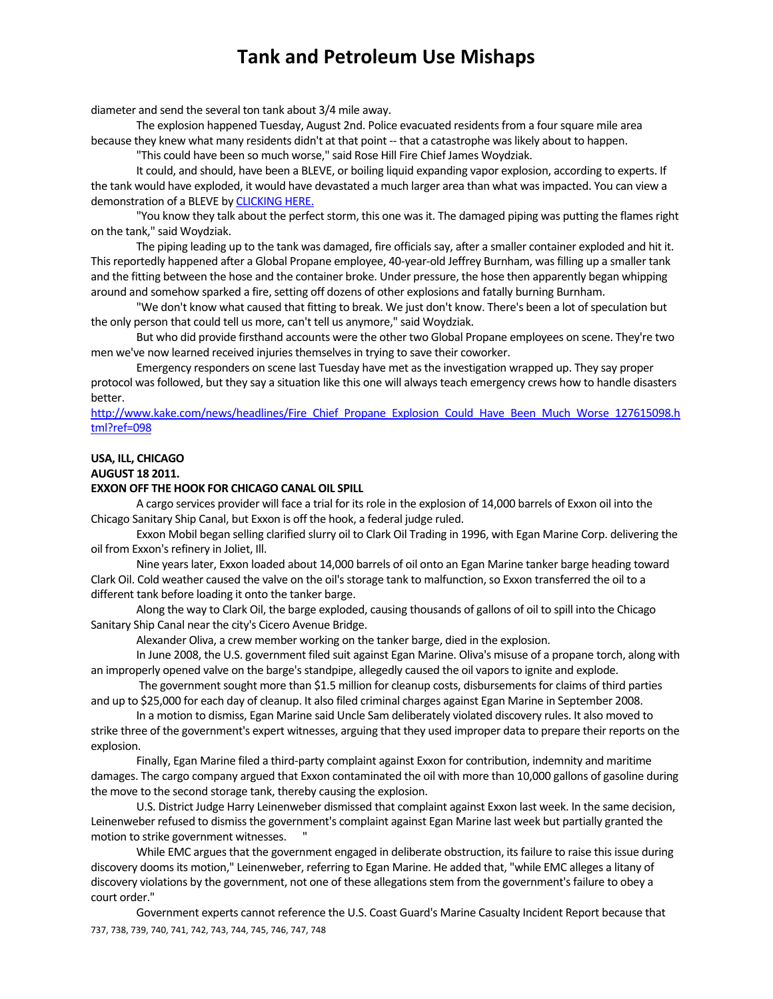diameter and send the several ton tank about 3/4 mile away.

The explosion happened Tuesday, August 2nd. Police evacuated residents from a four square mile area because they knew what many residents didn't at that point -- that a catastrophe was likely about to happen.

"This could have been so much worse," said Rose Hill Fire Chief James Woydziak.

It could, and should, have been a BLEVE, or boiling liquid expanding vapor explosion, according to experts. If the tank would have exploded, it would have devastated a much larger area than what was impacted. You can view a demonstration of a BLEVE by CLICKING HERE.

"You know they talk about the perfect storm, this one was it. The damaged piping was putting the flames right on the tank," said Woydziak.

The piping leading up to the tank was damaged, fire officials say, after a smaller container exploded and hit it. This reportedly happened after a Global Propane employee, 40-year-old Jeffrey Burnham, was filling up a smaller tank and the fitting between the hose and the container broke. Under pressure, the hose then apparently began whipping around and somehow sparked a fire, setting off dozens of other explosions and fatally burning Burnham.

"We don't know what caused that fitting to break. We just don't know. There's been a lot of speculation but the only person that could tell us more, can't tell us anymore," said Woydziak.

But who did provide firsthand accounts were the other two Global Propane employees on scene. They're two men we've now learned received injuries themselves in trying to save their coworker.

Emergency responders on scene last Tuesday have met asthe investigation wrapped up. They say proper protocol wasfollowed, but they say a situation like this one will alwaysteach emergency crews how to handle disasters better.

http://www.kake.com/news/headlines/Fire\_Chief\_Propane\_Explosion\_Could\_Have\_Been\_Much\_Worse\_127615098.h tml?ref=098

#### **USA, ILL, CHICAGO AUGUST 18 2011.**

#### **EXXON OFF THE HOOK FOR CHICAGO CANAL OIL SPILL**

A cargo services provider will face a trial for its role in the explosion of 14,000 barrels of Exxon oil into the Chicago Sanitary Ship Canal, but Exxon is off the hook, a federal judge ruled.

Exxon Mobil began selling clarified slurry oil to Clark Oil Trading in 1996, with Egan Marine Corp. delivering the oil from Exxon's refinery in Joliet, Ill.

Nine yearslater, Exxon loaded about 14,000 barrels of oil onto an Egan Marine tanker barge heading toward Clark Oil. Cold weather caused the valve on the oil'sstorage tank to malfunction, so Exxon transferred the oil to a different tank before loading it onto the tanker barge.

Along the way to Clark Oil, the barge exploded, causing thousands of gallons of oil to spill into the Chicago Sanitary Ship Canal near the city's Cicero Avenue Bridge.

Alexander Oliva, a crew member working on the tanker barge, died in the explosion.

In June 2008, the U.S. government filed suit against Egan Marine. Oliva's misuse of a propane torch, along with an improperly opened valve on the barge's standpipe, allegedly caused the oil vapors to ignite and explode.

The government sought more than \$1.5 million for cleanup costs, disbursements for claims of third parties and up to \$25,000 for each day of cleanup. It also filed criminal charges against Egan Marine in September 2008.

In a motion to dismiss, Egan Marine said Uncle Sam deliberately violated discovery rules. It also moved to strike three of the government's expert witnesses, arguing that they used improper data to prepare their reports on the explosion.

Finally, Egan Marine filed a third‐party complaint against Exxon for contribution, indemnity and maritime damages. The cargo company argued that Exxon contaminated the oil with more than 10,000 gallons of gasoline during the move to the second storage tank, thereby causing the explosion.

U.S. District Judge Harry Leinenweber dismissed that complaint against Exxon last week. In the same decision, Leinenweber refused to dismissthe government's complaint against Egan Marine last week but partially granted the motion to strike government witnesses.

While EMC argues that the government engaged in deliberate obstruction, its failure to raise this issue during discovery doomsits motion," Leinenweber, referring to Egan Marine. He added that, "while EMC alleges a litany of discovery violations by the government, not one of these allegations stem from the government's failure to obey a court order."

737, 738, 739, 740, 741, 742, 743, 744, 745, 746, 747, 748 Government experts cannot reference the U.S. Coast Guard's Marine Casualty Incident Report because that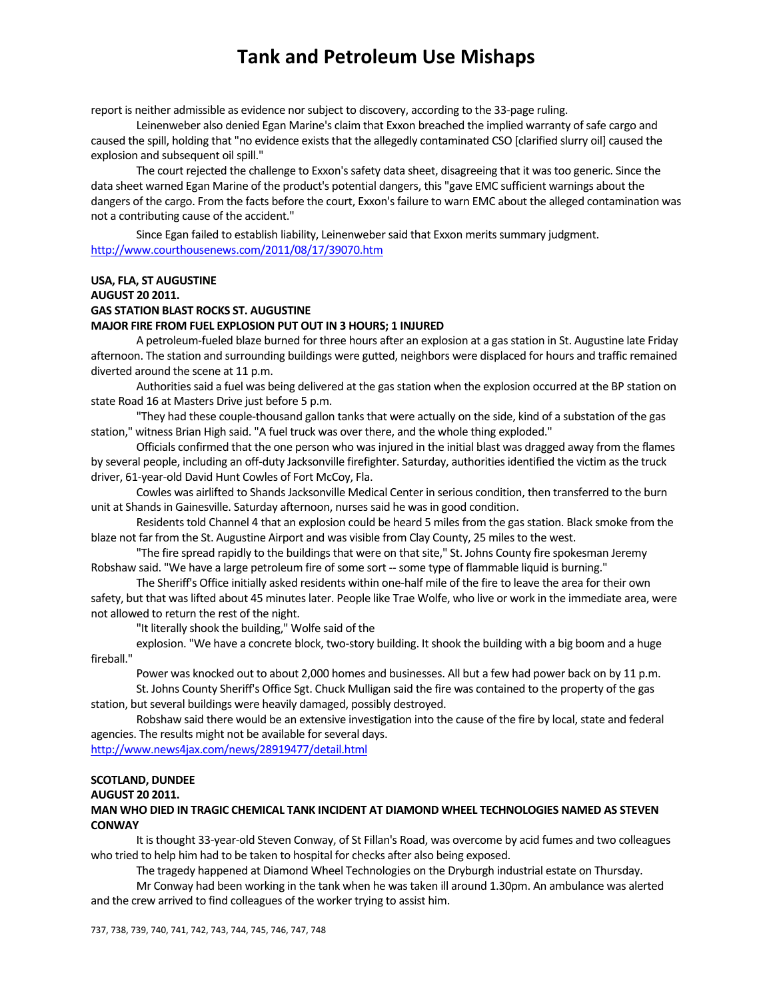report is neither admissible as evidence nor subject to discovery, according to the 33-page ruling.

Leinenweber also denied Egan Marine's claim that Exxon breached the implied warranty of safe cargo and caused the spill, holding that "no evidence exists that the allegedly contaminated CSO [clarified slurry oil] caused the explosion and subsequent oil spill."

The court rejected the challenge to Exxon's safety data sheet, disagreeing that it was too generic. Since the data sheet warned Egan Marine of the product's potential dangers, this "gave EMC sufficient warnings about the dangers of the cargo. From the facts before the court, Exxon's failure to warn EMC about the alleged contamination was not a contributing cause of the accident."

Since Egan failed to establish liability, Leinenweber said that Exxon merits summary judgment. http://www.courthousenews.com/2011/08/17/39070.htm

## **USA, FLA, ST AUGUSTINE AUGUST 20 2011. GAS STATION BLAST ROCKS ST. AUGUSTINE MAJOR FIRE FROM FUEL EXPLOSION PUT OUT IN 3 HOURS; 1 INJURED**

A petroleum‐fueled blaze burned for three hours after an explosion at a gasstation in St. Augustine late Friday afternoon. The station and surrounding buildings were gutted, neighbors were displaced for hours and traffic remained diverted around the scene at 11 p.m.

Authorities said a fuel was being delivered at the gas station when the explosion occurred at the BP station on state Road 16 at Masters Drive just before 5 p.m.

"They had these couple-thousand gallon tanks that were actually on the side, kind of a substation of the gas station," witness Brian High said. "A fuel truck was over there, and the whole thing exploded."

Officials confirmed that the one person who was injured in the initial blast was dragged away from the flames by several people, including an off-duty Jacksonville firefighter. Saturday, authorities identified the victim as the truck driver, 61‐year‐old David Hunt Cowles of Fort McCoy, Fla.

Cowles was airlifted to Shands Jacksonville Medical Center in serious condition, then transferred to the burn unit at Shands in Gainesville. Saturday afternoon, nurses said he was in good condition.

Residents told Channel 4 that an explosion could be heard 5 miles from the gas station. Black smoke from the blaze not far from the St. Augustine Airport and was visible from Clay County, 25 miles to the west.

"The fire spread rapidly to the buildings that were on that site," St. Johns County fire spokesman Jeremy Robshaw said. "We have a large petroleum fire of some sort -- some type of flammable liquid is burning."

The Sheriff's Office initially asked residents within one‐half mile of the fire to leave the area for their own safety, but that was lifted about 45 minutes later. People like Trae Wolfe, who live or work in the immediate area, were not allowed to return the rest of the night.

"It literally shook the building," Wolfe said of the

explosion. "We have a concrete block, two-story building. It shook the building with a big boom and a huge fireball."

Power was knocked out to about 2,000 homes and businesses. All but a few had power back on by 11 p.m.

St. Johns County Sheriff's Office Sgt. Chuck Mulligan said the fire was contained to the property of the gas station, but several buildings were heavily damaged, possibly destroyed.

Robshaw said there would be an extensive investigation into the cause of the fire by local, state and federal agencies. The results might not be available for several days.

http://www.news4jax.com/news/28919477/detail.html

#### **SCOTLAND, DUNDEE**

#### **AUGUST 20 2011.**

## **MAN WHO DIED IN TRAGIC CHEMICAL TANK INCIDENT AT DIAMOND WHEEL TECHNOLOGIES NAMED AS STEVEN CONWAY**

It isthought 33‐year‐old Steven Conway, of St Fillan's Road, was overcome by acid fumes and two colleagues who tried to help him had to be taken to hospital for checks after also being exposed.

The tragedy happened at Diamond Wheel Technologies on the Dryburgh industrial estate on Thursday.

Mr Conway had been working in the tank when he wastaken ill around 1.30pm. An ambulance was alerted and the crew arrived to find colleagues of the worker trying to assist him.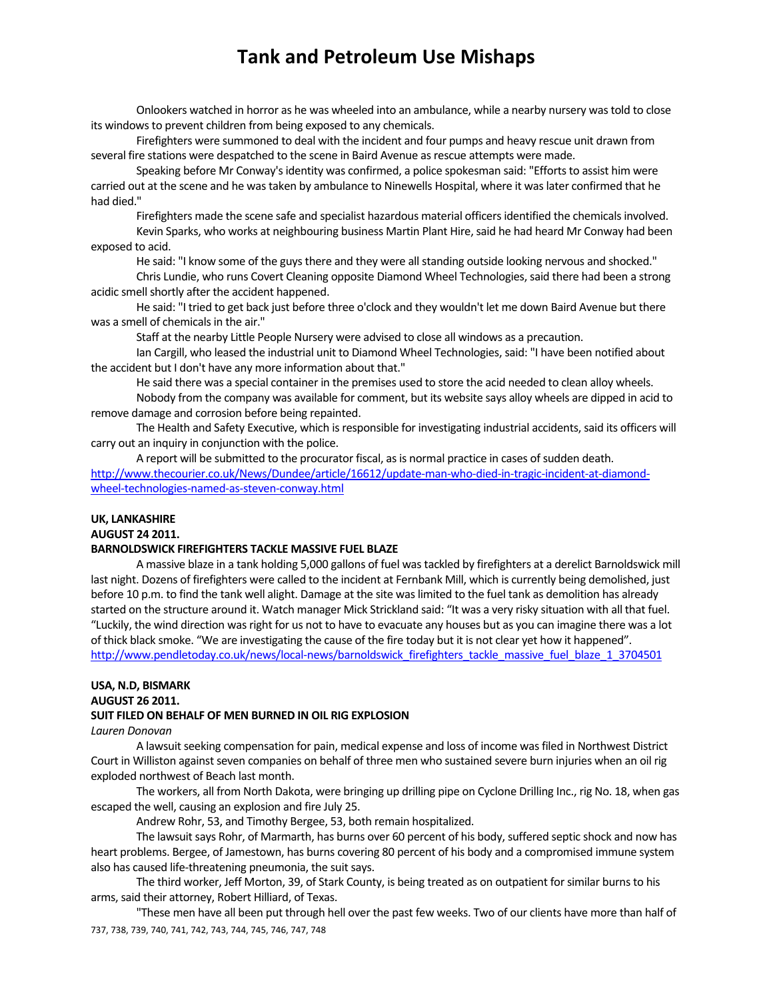Onlookers watched in horror as he was wheeled into an ambulance, while a nearby nursery wastold to close its windows to prevent children from being exposed to any chemicals.

Firefighters were summoned to deal with the incident and four pumps and heavy rescue unit drawn from several fire stations were despatched to the scene in Baird Avenue as rescue attempts were made.

Speaking before Mr Conway's identity was confirmed, a police spokesman said: "Efforts to assist him were carried out at the scene and he wastaken by ambulance to Ninewells Hospital, where it waslater confirmed that he had died."

Firefighters made the scene safe and specialist hazardous material officers identified the chemicals involved. Kevin Sparks, who works at neighbouring business Martin Plant Hire, said he had heard Mr Conway had been

exposed to acid.

He said: "I know some of the guys there and they were all standing outside looking nervous and shocked."

Chris Lundie, who runs Covert Cleaning opposite Diamond Wheel Technologies, said there had been a strong acidic smell shortly after the accident happened.

He said: "I tried to get back just before three o'clock and they wouldn't let me down Baird Avenue but there was a smell of chemicals in the air."

Staff at the nearby Little People Nursery were advised to close all windows as a precaution.

Ian Cargill, who leased the industrial unit to Diamond Wheel Technologies, said: "I have been notified about the accident but I don't have any more information about that."

He said there was a special container in the premises used to store the acid needed to clean alloy wheels.

Nobody from the company was available for comment, but its website says alloy wheels are dipped in acid to remove damage and corrosion before being repainted.

The Health and Safety Executive, which is responsible for investigating industrial accidents, said its officers will carry out an inquiry in conjunction with the police.

A report will be submitted to the procurator fiscal, as is normal practice in cases of sudden death. http://www.thecourier.co.uk/News/Dundee/article/16612/update-man-who-died-in-tragic-incident-at-diamondwheel‐technologies‐named‐as‐steven‐conway.html

# **UK, LANKASHIRE**

**AUGUST 24 2011.** 

### **BARNOLDSWICK FIREFIGHTERS TACKLE MASSIVE FUEL BLAZE**

A massive blaze in a tank holding 5,000 gallons of fuel wastackled by firefighters at a derelict Barnoldswick mill last night. Dozens of firefighters were called to the incident at Fernbank Mill, which is currently being demolished, just before 10 p.m. to find the tank well alight. Damage at the site was limited to the fuel tank as demolition has already started on the structure around it. Watch manager Mick Strickland said: "It was a very risky situation with all that fuel. "Luckily, the wind direction was right for us not to have to evacuate any houses but as you can imagine there was a lot of thick black smoke. "We are investigating the cause of the fire today but it is not clear yet how it happened". http://www.pendletoday.co.uk/news/local-news/barnoldswick\_firefighters\_tackle\_massive\_fuel\_blaze\_1\_3704501

### **USA, N.D, BISMARK AUGUST 26 2011.**

### **SUIT FILED ON BEHALF OF MEN BURNED IN OIL RIG EXPLOSION**

*Lauren Donovan*

A lawsuit seeking compensation for pain, medical expense and loss of income was filed in Northwest District Court in Williston against seven companies on behalf of three men who sustained severe burn injuries when an oil rig exploded northwest of Beach last month.

The workers, all from North Dakota, were bringing up drilling pipe on Cyclone Drilling Inc., rig No. 18, when gas escaped the well, causing an explosion and fire July 25.

Andrew Rohr, 53, and Timothy Bergee, 53, both remain hospitalized.

The lawsuit says Rohr, of Marmarth, has burns over 60 percent of his body, suffered septic shock and now has heart problems. Bergee, of Jamestown, has burns covering 80 percent of his body and a compromised immune system also has caused life-threatening pneumonia, the suit says.

The third worker, Jeff Morton, 39, of Stark County, is being treated as on outpatient forsimilar burnsto his arms, said their attorney, Robert Hilliard, of Texas.

737, 738, 739, 740, 741, 742, 743, 744, 745, 746, 747, 748 "These men have all been put through hell over the past few weeks. Two of our clients have more than half of